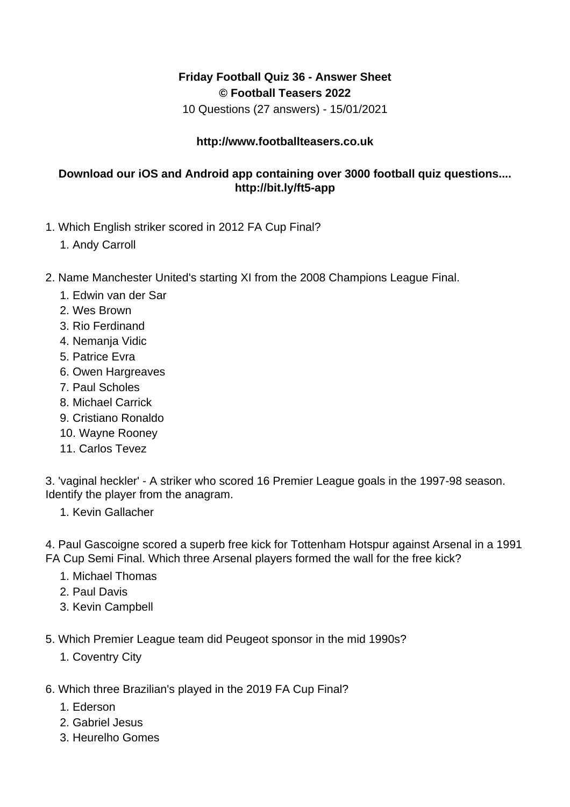## **Friday Football Quiz 36 - Answer Sheet © Football Teasers 2022**

10 Questions (27 answers) - 15/01/2021

## **http://www.footballteasers.co.uk**

## **Download our iOS and Android app containing over 3000 football quiz questions.... http://bit.ly/ft5-app**

- 1. Which English striker scored in 2012 FA Cup Final?
	- 1. Andy Carroll
- 2. Name Manchester United's starting XI from the 2008 Champions League Final.
	- 1. Edwin van der Sar
	- 2. Wes Brown
	- 3. Rio Ferdinand
	- 4. Nemanja Vidic
	- 5. Patrice Evra
	- 6. Owen Hargreaves
	- 7. Paul Scholes
	- 8. Michael Carrick
	- 9. Cristiano Ronaldo
	- 10. Wayne Rooney
	- 11. Carlos Tevez

3. 'vaginal heckler' - A striker who scored 16 Premier League goals in the 1997-98 season. Identify the player from the anagram.

1. Kevin Gallacher

4. Paul Gascoigne scored a superb free kick for Tottenham Hotspur against Arsenal in a 1991 FA Cup Semi Final. Which three Arsenal players formed the wall for the free kick?

- 1. Michael Thomas
- 2. Paul Davis
- 3. Kevin Campbell
- 5. Which Premier League team did Peugeot sponsor in the mid 1990s?
	- 1. Coventry City
- 6. Which three Brazilian's played in the 2019 FA Cup Final?
	- 1. Ederson
	- 2. Gabriel Jesus
	- 3. Heurelho Gomes